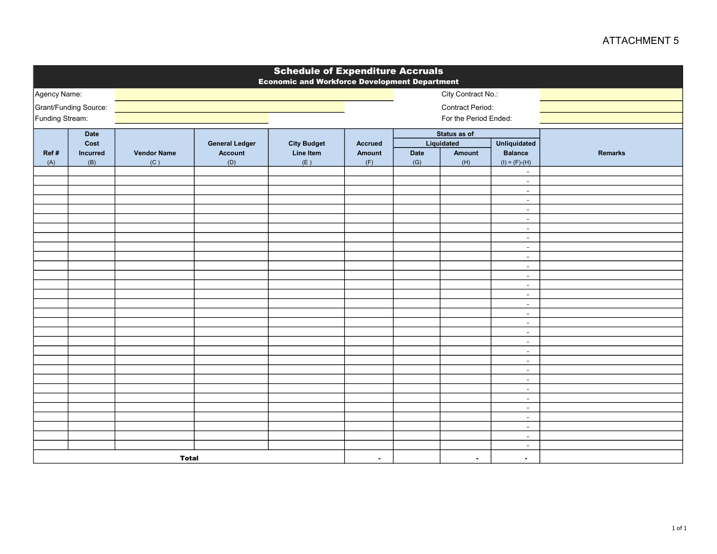## ATTACHMENT 5

| <b>Schedule of Expenditure Accruals</b><br><b>Economic and Workforce Development Department</b> |              |                    |                       |                    |                |                                                   |                                        |                  |                |
|-------------------------------------------------------------------------------------------------|--------------|--------------------|-----------------------|--------------------|----------------|---------------------------------------------------|----------------------------------------|------------------|----------------|
| Agency Name:                                                                                    |              |                    |                       |                    |                |                                                   |                                        |                  |                |
| Grant/Funding Source:                                                                           |              |                    |                       |                    |                |                                                   | City Contract No.:<br>Contract Period: |                  |                |
| Funding Stream:                                                                                 |              |                    |                       |                    |                |                                                   | For the Period Ended:                  |                  |                |
|                                                                                                 |              |                    |                       |                    |                |                                                   |                                        |                  |                |
|                                                                                                 | Date<br>Cost |                    | <b>General Ledger</b> | <b>City Budget</b> | <b>Accrued</b> | Status as of<br>Liquidated<br><b>Unliquidated</b> |                                        |                  |                |
| Ref#                                                                                            | Incurred     | <b>Vendor Name</b> | <b>Account</b>        | <b>Line Item</b>   | <b>Amount</b>  | <b>Date</b><br>Amount                             |                                        | <b>Balance</b>   | <b>Remarks</b> |
| (A)                                                                                             | (B)          | (C)                | (D)                   | (E)                | (F)            | (G)                                               | (H)                                    | $(I) = (F)-(H)$  |                |
|                                                                                                 |              |                    |                       |                    |                |                                                   |                                        | $\sim$           |                |
|                                                                                                 |              |                    |                       |                    |                |                                                   |                                        | $\sim$           |                |
|                                                                                                 |              |                    |                       |                    |                |                                                   |                                        | $\sim$           |                |
|                                                                                                 |              |                    |                       |                    |                |                                                   |                                        | $\sim$           |                |
|                                                                                                 |              |                    |                       |                    |                |                                                   |                                        | $\sim$           |                |
|                                                                                                 |              |                    |                       |                    |                |                                                   |                                        | $\sim$           |                |
|                                                                                                 |              |                    |                       |                    |                |                                                   |                                        | $\blacksquare$   |                |
|                                                                                                 |              |                    |                       |                    |                |                                                   |                                        | $\sim$<br>$\sim$ |                |
|                                                                                                 |              |                    |                       |                    |                |                                                   |                                        | $\sim$           |                |
|                                                                                                 |              |                    |                       |                    |                |                                                   |                                        | $\sim$           |                |
|                                                                                                 |              |                    |                       |                    |                |                                                   |                                        | $\sim$           |                |
|                                                                                                 |              |                    |                       |                    |                |                                                   |                                        | $\sim$           |                |
|                                                                                                 |              |                    |                       |                    |                |                                                   |                                        | $\sim$           |                |
|                                                                                                 |              |                    |                       |                    |                |                                                   |                                        | $\sim$           |                |
|                                                                                                 |              |                    |                       |                    |                |                                                   |                                        | $\sim$           |                |
|                                                                                                 |              |                    |                       |                    |                |                                                   |                                        | $\sim$           |                |
|                                                                                                 |              |                    |                       |                    |                |                                                   |                                        | $\sim$           |                |
|                                                                                                 |              |                    |                       |                    |                |                                                   |                                        | $\sim$           |                |
|                                                                                                 |              |                    |                       |                    |                |                                                   |                                        | $\blacksquare$   |                |
|                                                                                                 |              |                    |                       |                    |                |                                                   |                                        | $\sim$           |                |
|                                                                                                 |              |                    |                       |                    |                |                                                   |                                        | $\blacksquare$   |                |
|                                                                                                 |              |                    |                       |                    |                |                                                   |                                        | $\sim$           |                |
|                                                                                                 |              |                    |                       |                    |                |                                                   |                                        | $\sim$<br>$\sim$ |                |
|                                                                                                 |              |                    |                       |                    |                |                                                   |                                        | $\sim$           |                |
|                                                                                                 |              |                    |                       |                    |                |                                                   |                                        | $\sim$           |                |
|                                                                                                 |              |                    |                       |                    |                |                                                   |                                        | $\sim$           |                |
|                                                                                                 |              |                    |                       |                    |                |                                                   |                                        | $\blacksquare$   |                |
|                                                                                                 |              |                    |                       |                    |                |                                                   |                                        | $\sim$           |                |
| <b>Total</b>                                                                                    |              |                    |                       |                    | $\blacksquare$ |                                                   | $\sim$                                 | $\sim$           |                |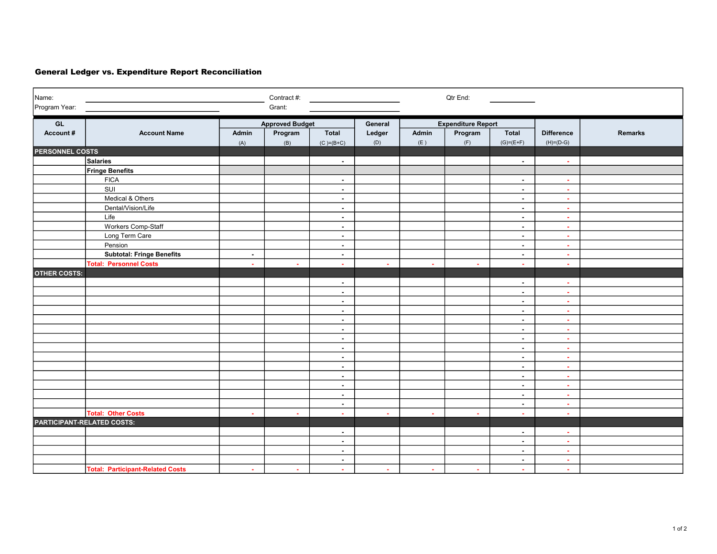## General Ledger vs. Expenditure Report Reconciliation

| Name:<br>Program Year:            |                                         |        | Contract #:<br>Grant:  |                                  |         |        | Qtr End:                  |                  |                       |         |  |
|-----------------------------------|-----------------------------------------|--------|------------------------|----------------------------------|---------|--------|---------------------------|------------------|-----------------------|---------|--|
|                                   |                                         |        |                        |                                  |         |        |                           |                  |                       |         |  |
| GL                                |                                         |        | <b>Approved Budget</b> |                                  | General |        | <b>Expenditure Report</b> |                  |                       |         |  |
| Account#                          | <b>Account Name</b>                     | Admin  | Program                | <b>Total</b>                     | Ledger  | Admin  | Program                   | <b>Total</b>     | <b>Difference</b>     | Remarks |  |
|                                   |                                         | (A)    | (B)                    | $(C) = (B + C)$                  | (D)     | (E)    | (F)                       | $(G) = (E + F)$  | $(H)= (D-G)$          |         |  |
| <b>PERSONNEL COSTS</b>            |                                         |        |                        |                                  |         |        |                           |                  |                       |         |  |
|                                   | <b>Salaries</b>                         |        |                        | $\overline{\phantom{a}}$         |         |        |                           | $\sim$           | $\sim$                |         |  |
|                                   | <b>Fringe Benefits</b><br><b>FICA</b>   |        |                        |                                  |         |        |                           |                  |                       |         |  |
|                                   | SUI                                     |        |                        | $\blacksquare$                   |         |        |                           | $\sim$           | $\bullet$<br>$\omega$ |         |  |
|                                   | Medical & Others                        |        |                        | $\blacksquare$                   |         |        |                           | $\sim$           | $\sim$                |         |  |
|                                   | Dental/Vision/Life                      |        |                        | $\blacksquare$                   |         |        |                           | $\sim$           |                       |         |  |
|                                   | Life                                    |        |                        | $\blacksquare$                   |         |        |                           | $\sim$           | $\sim$                |         |  |
|                                   | Workers Comp-Staff                      |        |                        | $\sim$                           |         |        |                           | $\sim$           | ÷                     |         |  |
|                                   |                                         |        |                        | $\blacksquare$<br>$\blacksquare$ |         |        |                           | $\sim$           | $\sim$                |         |  |
|                                   | Long Term Care<br>Pension               |        |                        |                                  |         |        |                           | $\sim$           | $\sim$                |         |  |
|                                   | <b>Subtotal: Fringe Benefits</b>        |        |                        | $\blacksquare$                   |         |        |                           | $\sim$           | ÷                     |         |  |
|                                   | <b>Total: Personnel Costs</b>           | $\sim$ |                        | $\blacksquare$                   |         |        |                           | $\sim$           | $\blacksquare$        |         |  |
| <b>OTHER COSTS:</b>               |                                         | $\sim$ | ×.                     | $\sim$                           | $\sim$  | $\sim$ | $\sim$                    | $\sim$           | ×.                    |         |  |
|                                   |                                         |        |                        | $\blacksquare$                   |         |        |                           | $\sim$           |                       |         |  |
|                                   |                                         |        |                        |                                  |         |        |                           |                  | $\sim$                |         |  |
|                                   |                                         |        |                        | $\blacksquare$<br>$\sim$         |         |        |                           | $\sim$<br>$\sim$ | $\sim$<br>$\sim$      |         |  |
|                                   |                                         |        |                        | $\blacksquare$                   |         |        |                           |                  |                       |         |  |
|                                   |                                         |        |                        | $\blacksquare$                   |         |        |                           | $\sim$<br>$\sim$ | $\blacksquare$<br>÷   |         |  |
|                                   |                                         |        |                        | $\blacksquare$                   |         |        |                           | $\sim$           | $\sim$                |         |  |
|                                   |                                         |        |                        | $\sim$                           |         |        |                           | $\sim$           | $\sim$                |         |  |
|                                   |                                         |        |                        | $\sim$                           |         |        |                           | $\sim$           | $\sim$                |         |  |
|                                   |                                         |        |                        | $\blacksquare$                   |         |        |                           | $\sim$           | ÷                     |         |  |
|                                   |                                         |        |                        | $\blacksquare$                   |         |        |                           | $\sim$           | $\omega$              |         |  |
|                                   |                                         |        |                        | $\blacksquare$                   |         |        |                           | $\sim$           | ×.                    |         |  |
|                                   |                                         |        |                        | $\blacksquare$                   |         |        |                           | $\sim$           | $\blacksquare$        |         |  |
|                                   |                                         |        |                        | $\sim$                           |         |        |                           | $\sim$           | $\sim$                |         |  |
|                                   |                                         |        |                        | $\blacksquare$                   |         |        |                           | $\sim$           | $\sim$                |         |  |
|                                   | <b>Total: Other Costs</b>               | $\sim$ | $\mathbf{r}$           | $\sim$                           |         |        |                           | $\sim$           | $\sim$                |         |  |
| <b>PARTICIPANT-RELATED COSTS:</b> |                                         |        |                        |                                  |         |        |                           |                  |                       |         |  |
|                                   |                                         |        |                        | $\blacksquare$                   |         |        |                           | $\sim$           | $\bullet$             |         |  |
|                                   |                                         |        |                        | $\sim$                           |         |        |                           | $\sim$           | ÷                     |         |  |
|                                   |                                         |        |                        | $\sim$                           |         |        |                           | $\sim$           | $\sim$                |         |  |
|                                   |                                         |        |                        | $\blacksquare$                   |         |        |                           | $\sim$           | $\sim$                |         |  |
|                                   | <b>Total: Participant-Related Costs</b> | o.     | $\sim$                 | $\omega$                         | o.      | $\sim$ | $\sim$                    | $\sim$           | $\sim$                |         |  |